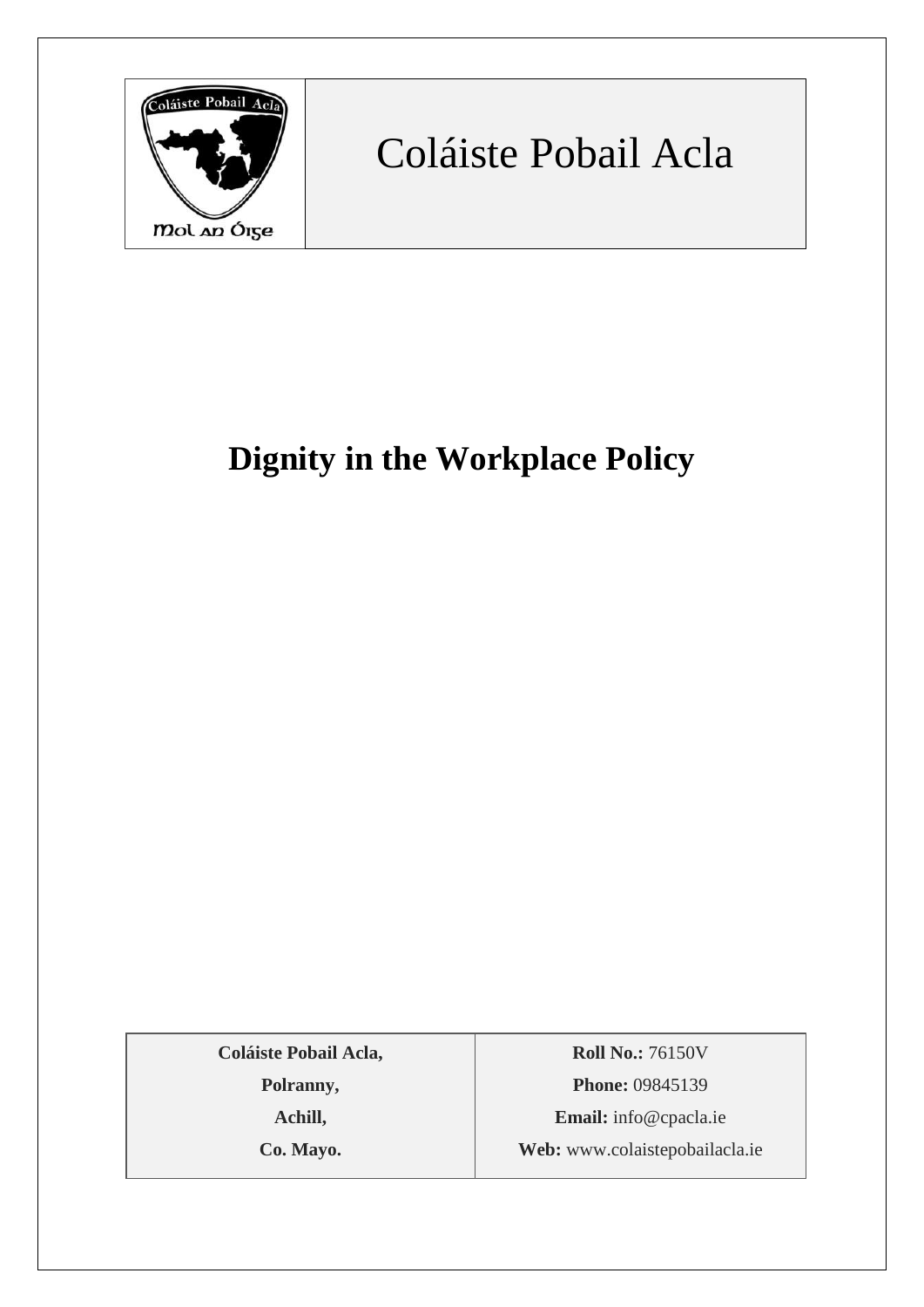

# Coláiste Pobail Acla

# **Dignity in the Workplace Policy**

**Coláiste Pobail Acla,**

**Polranny,**

**Achill,**

**Co. Mayo.**

**Roll No.:** 76150V **Phone:** 09845139 **Email:** [info@cpacla.ie](mailto:info@cpacla.ie) **Web:** www.colaistepobailacla.ie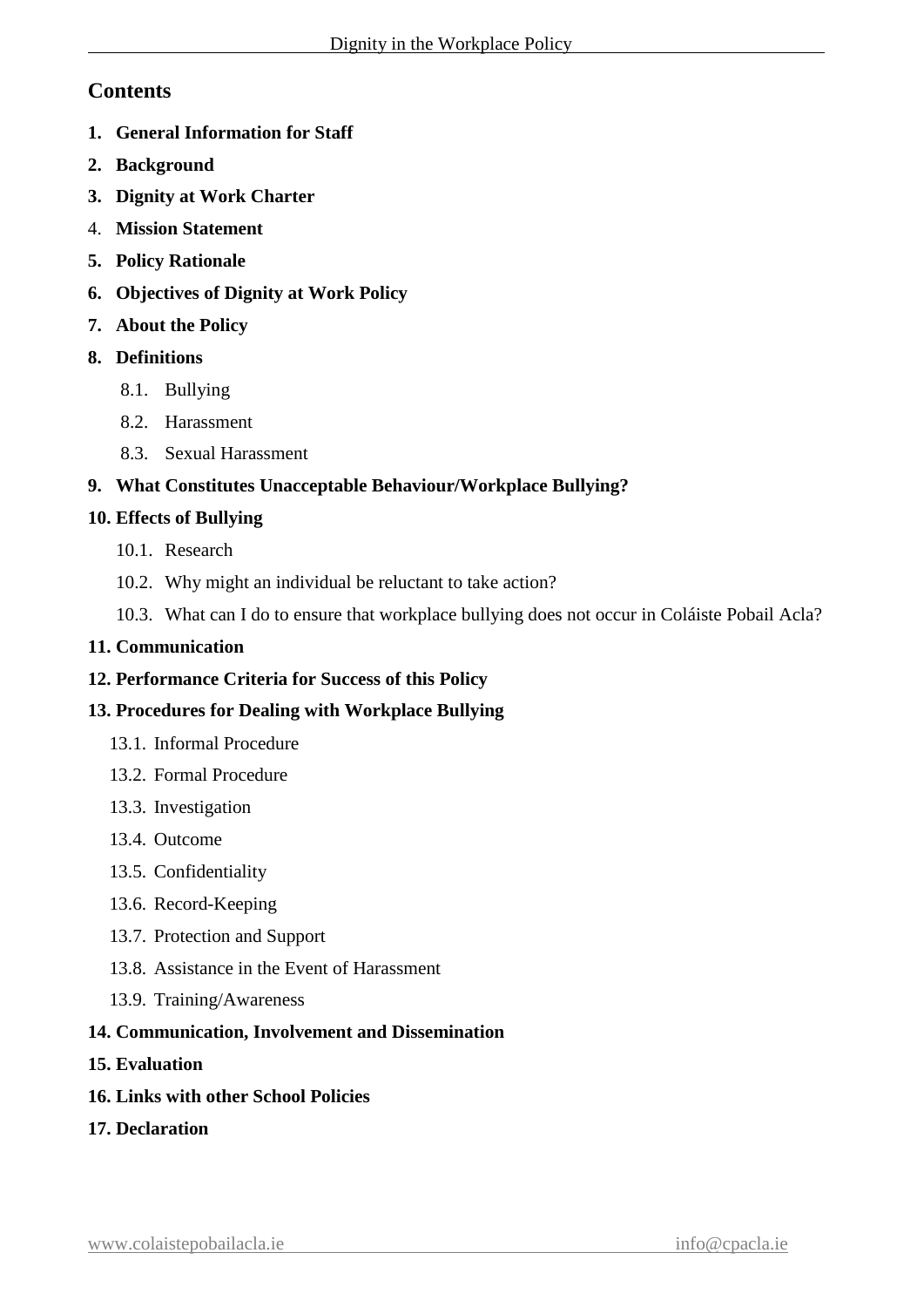# **Contents**

- **1. General Information for Staff**
- **2. Background**
- **3. Dignity at Work Charter**
- 4. **Mission Statement**
- **5. Policy Rationale**
- **6. Objectives of Dignity at Work Policy**
- **7. About the Policy**
- **8. Definitions**
	- 8.1. Bullying
	- 8.2. Harassment
	- 8.3. Sexual Harassment

### **9. What Constitutes Unacceptable Behaviour/Workplace Bullying?**

### **10. Effects of Bullying**

- 10.1. Research
- 10.2. Why might an individual be reluctant to take action?
- 10.3. What can I do to ensure that workplace bullying does not occur in Coláiste Pobail Acla?

### **11. Communication**

**12. Performance Criteria for Success of this Policy**

### **13. Procedures for Dealing with Workplace Bullying**

- 13.1. Informal Procedure
- 13.2. Formal Procedure
- 13.3. Investigation
- 13.4. Outcome
- 13.5. Confidentiality
- 13.6. Record-Keeping
- 13.7. Protection and Support
- 13.8. Assistance in the Event of Harassment
- 13.9. Training/Awareness

### **14. Communication, Involvement and Dissemination**

- **15. Evaluation**
- **16. Links with other School Policies**
- **17. Declaration**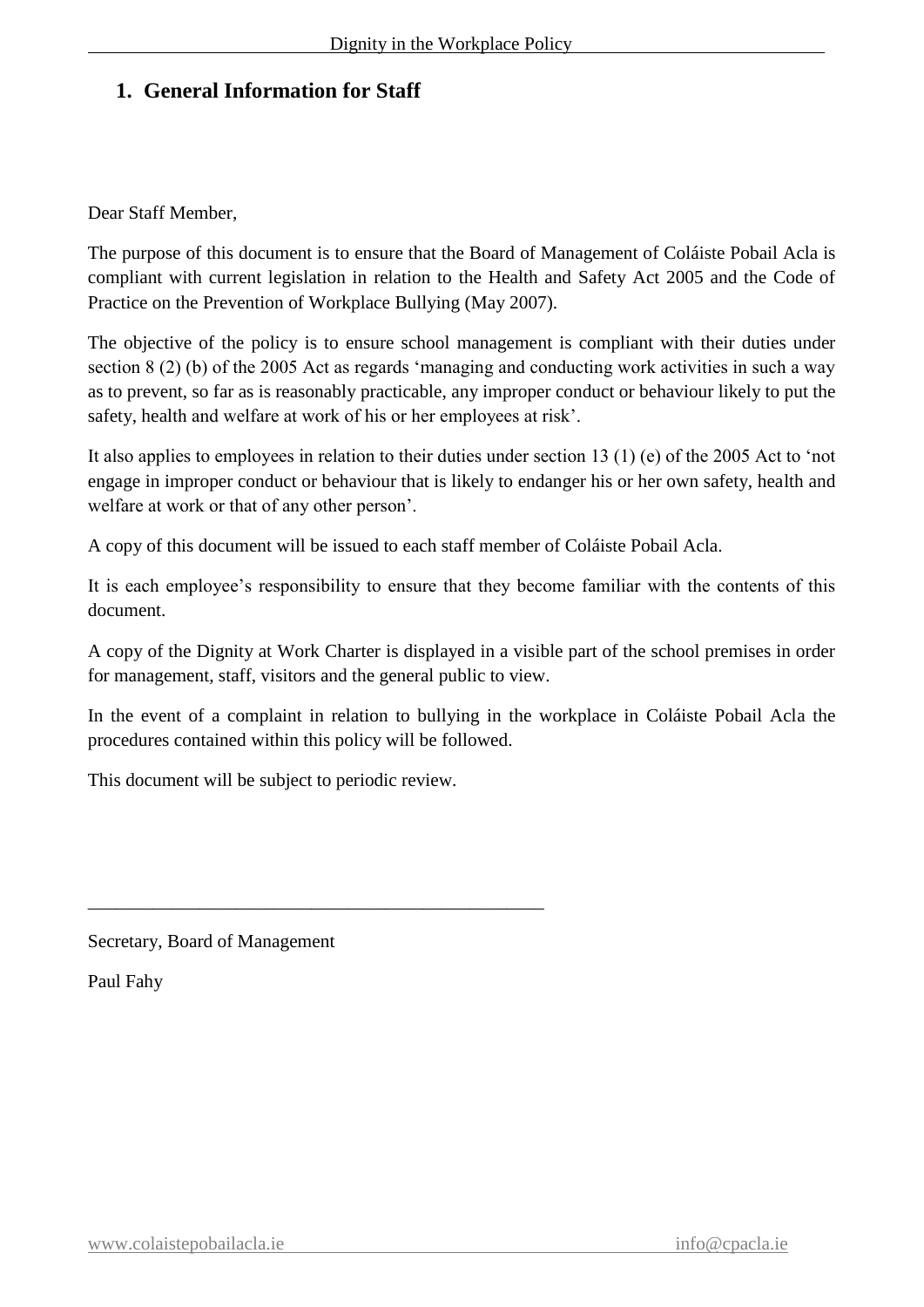# **1. General Information for Staff**

Dear Staff Member,

The purpose of this document is to ensure that the Board of Management of Coláiste Pobail Acla is compliant with current legislation in relation to the Health and Safety Act 2005 and the Code of Practice on the Prevention of Workplace Bullying (May 2007).

The objective of the policy is to ensure school management is compliant with their duties under section 8 (2) (b) of the 2005 Act as regards 'managing and conducting work activities in such a way as to prevent, so far as is reasonably practicable, any improper conduct or behaviour likely to put the safety, health and welfare at work of his or her employees at risk'.

It also applies to employees in relation to their duties under section 13 (1) (e) of the 2005 Act to 'not engage in improper conduct or behaviour that is likely to endanger his or her own safety, health and welfare at work or that of any other person'.

A copy of this document will be issued to each staff member of Coláiste Pobail Acla.

It is each employee's responsibility to ensure that they become familiar with the contents of this document.

A copy of the Dignity at Work Charter is displayed in a visible part of the school premises in order for management, staff, visitors and the general public to view.

In the event of a complaint in relation to bullying in the workplace in Coláiste Pobail Acla the procedures contained within this policy will be followed.

This document will be subject to periodic review.

\_\_\_\_\_\_\_\_\_\_\_\_\_\_\_\_\_\_\_\_\_\_\_\_\_\_\_\_\_\_\_\_\_\_\_\_\_\_\_\_\_\_\_\_\_\_\_\_\_

Secretary, Board of Management

Paul Fahy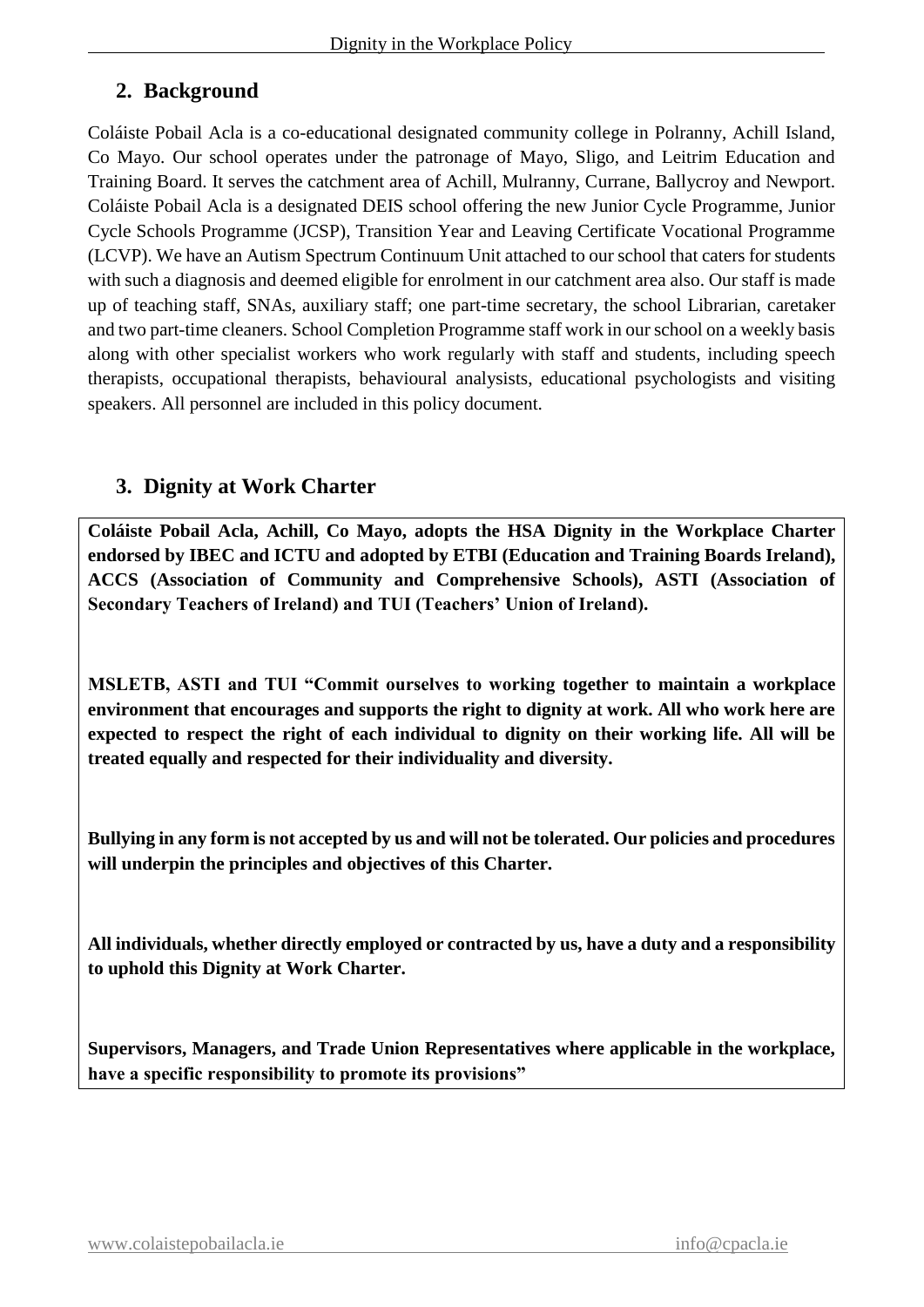# **2. Background**

Coláiste Pobail Acla is a co-educational designated community college in Polranny, Achill Island, Co Mayo. Our school operates under the patronage of Mayo, Sligo, and Leitrim Education and Training Board. It serves the catchment area of Achill, Mulranny, Currane, Ballycroy and Newport. Coláiste Pobail Acla is a designated DEIS school offering the new Junior Cycle Programme, Junior Cycle Schools Programme (JCSP), Transition Year and Leaving Certificate Vocational Programme (LCVP). We have an Autism Spectrum Continuum Unit attached to our school that caters for students with such a diagnosis and deemed eligible for enrolment in our catchment area also. Our staff is made up of teaching staff, SNAs, auxiliary staff; one part-time secretary, the school Librarian, caretaker and two part-time cleaners. School Completion Programme staff work in our school on a weekly basis along with other specialist workers who work regularly with staff and students, including speech therapists, occupational therapists, behavioural analysists, educational psychologists and visiting speakers. All personnel are included in this policy document.

# **3. Dignity at Work Charter**

**Coláiste Pobail Acla, Achill, Co Mayo, adopts the HSA Dignity in the Workplace Charter endorsed by IBEC and ICTU and adopted by ETBI (Education and Training Boards Ireland), ACCS (Association of Community and Comprehensive Schools), ASTI (Association of Secondary Teachers of Ireland) and TUI (Teachers' Union of Ireland).**

**MSLETB, ASTI and TUI "Commit ourselves to working together to maintain a workplace environment that encourages and supports the right to dignity at work. All who work here are expected to respect the right of each individual to dignity on their working life. All will be treated equally and respected for their individuality and diversity.**

**Bullying in any form is not accepted by us and will not be tolerated. Our policies and procedures will underpin the principles and objectives of this Charter.**

**All individuals, whether directly employed or contracted by us, have a duty and a responsibility to uphold this Dignity at Work Charter.**

**Supervisors, Managers, and Trade Union Representatives where applicable in the workplace, have a specific responsibility to promote its provisions"**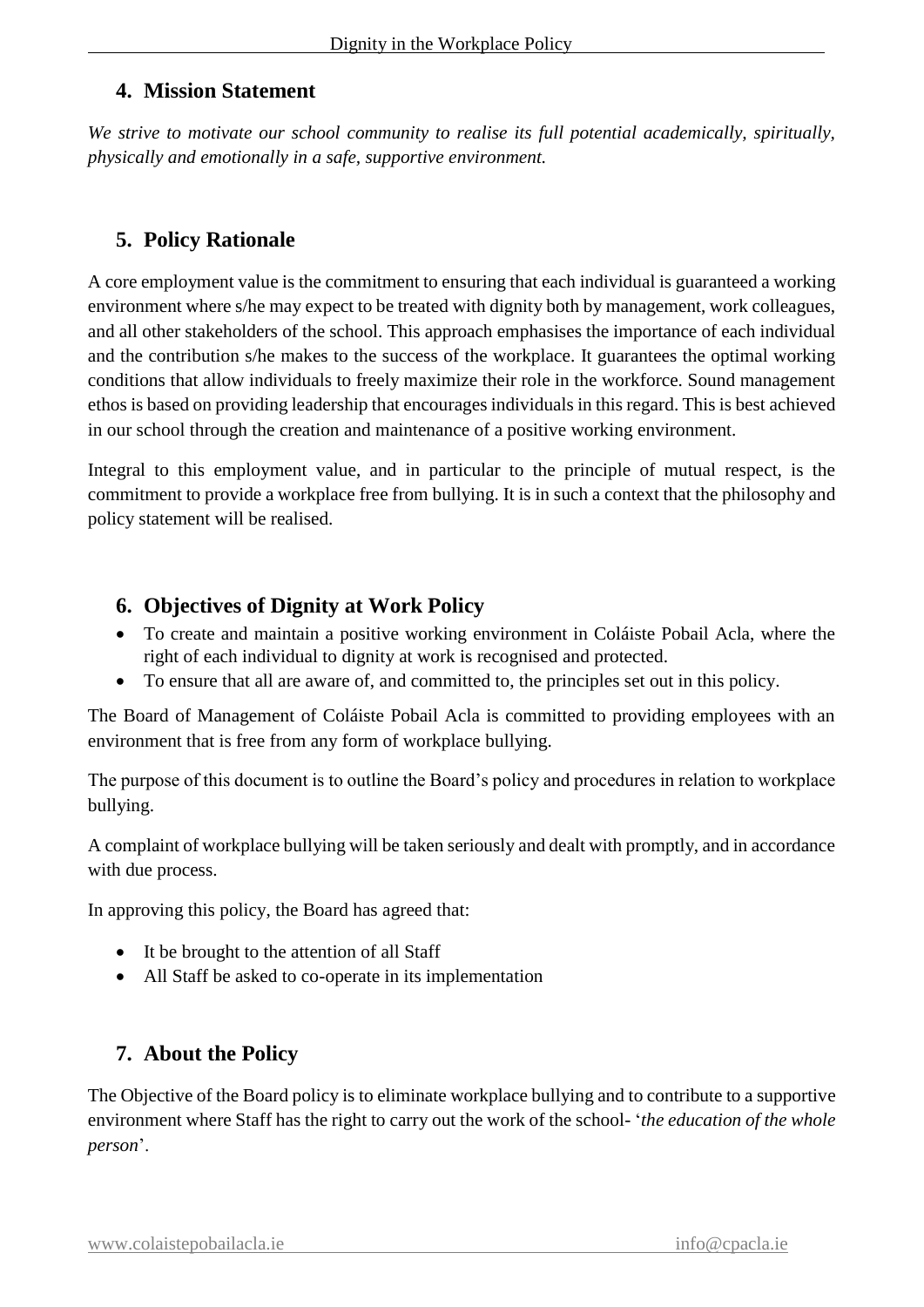# **4. Mission Statement**

*We strive to motivate our school community to realise its full potential academically, spiritually, physically and emotionally in a safe, supportive environment.*

# **5. Policy Rationale**

A core employment value is the commitment to ensuring that each individual is guaranteed a working environment where s/he may expect to be treated with dignity both by management, work colleagues, and all other stakeholders of the school. This approach emphasises the importance of each individual and the contribution s/he makes to the success of the workplace. It guarantees the optimal working conditions that allow individuals to freely maximize their role in the workforce. Sound management ethos is based on providing leadership that encourages individuals in this regard. This is best achieved in our school through the creation and maintenance of a positive working environment.

Integral to this employment value, and in particular to the principle of mutual respect, is the commitment to provide a workplace free from bullying. It is in such a context that the philosophy and policy statement will be realised.

# **6. Objectives of Dignity at Work Policy**

- To create and maintain a positive working environment in Coláiste Pobail Acla, where the right of each individual to dignity at work is recognised and protected.
- To ensure that all are aware of, and committed to, the principles set out in this policy.

The Board of Management of Coláiste Pobail Acla is committed to providing employees with an environment that is free from any form of workplace bullying.

The purpose of this document is to outline the Board's policy and procedures in relation to workplace bullying.

A complaint of workplace bullying will be taken seriously and dealt with promptly, and in accordance with due process.

In approving this policy, the Board has agreed that:

- It be brought to the attention of all Staff
- All Staff be asked to co-operate in its implementation

# **7. About the Policy**

The Objective of the Board policy is to eliminate workplace bullying and to contribute to a supportive environment where Staff has the right to carry out the work of the school- '*the education of the whole person*'.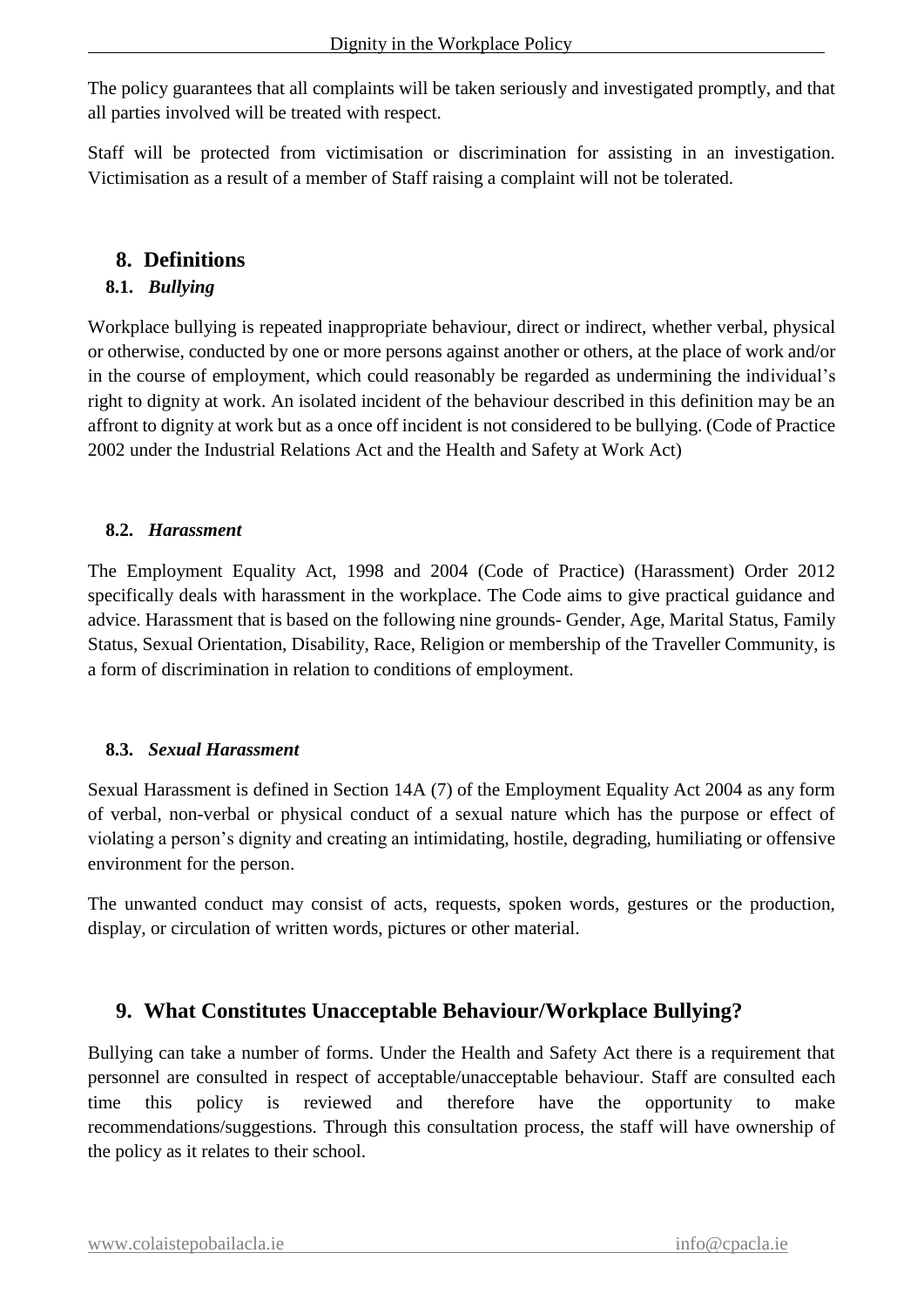The policy guarantees that all complaints will be taken seriously and investigated promptly, and that all parties involved will be treated with respect.

Staff will be protected from victimisation or discrimination for assisting in an investigation. Victimisation as a result of a member of Staff raising a complaint will not be tolerated.

### **8. Definitions**

### **8.1.** *Bullying*

Workplace bullying is repeated inappropriate behaviour, direct or indirect, whether verbal, physical or otherwise, conducted by one or more persons against another or others, at the place of work and/or in the course of employment, which could reasonably be regarded as undermining the individual's right to dignity at work. An isolated incident of the behaviour described in this definition may be an affront to dignity at work but as a once off incident is not considered to be bullying. (Code of Practice 2002 under the Industrial Relations Act and the Health and Safety at Work Act)

### **8.2.** *Harassment*

The Employment Equality Act, 1998 and 2004 (Code of Practice) (Harassment) Order 2012 specifically deals with harassment in the workplace. The Code aims to give practical guidance and advice. Harassment that is based on the following nine grounds- Gender, Age, Marital Status, Family Status, Sexual Orientation, Disability, Race, Religion or membership of the Traveller Community, is a form of discrimination in relation to conditions of employment.

### **8.3.** *Sexual Harassment*

Sexual Harassment is defined in Section 14A (7) of the Employment Equality Act 2004 as any form of verbal, non-verbal or physical conduct of a sexual nature which has the purpose or effect of violating a person's dignity and creating an intimidating, hostile, degrading, humiliating or offensive environment for the person.

The unwanted conduct may consist of acts, requests, spoken words, gestures or the production, display, or circulation of written words, pictures or other material.

# **9. What Constitutes Unacceptable Behaviour/Workplace Bullying?**

Bullying can take a number of forms. Under the Health and Safety Act there is a requirement that personnel are consulted in respect of acceptable/unacceptable behaviour. Staff are consulted each time this policy is reviewed and therefore have the opportunity to make recommendations/suggestions. Through this consultation process, the staff will have ownership of the policy as it relates to their school.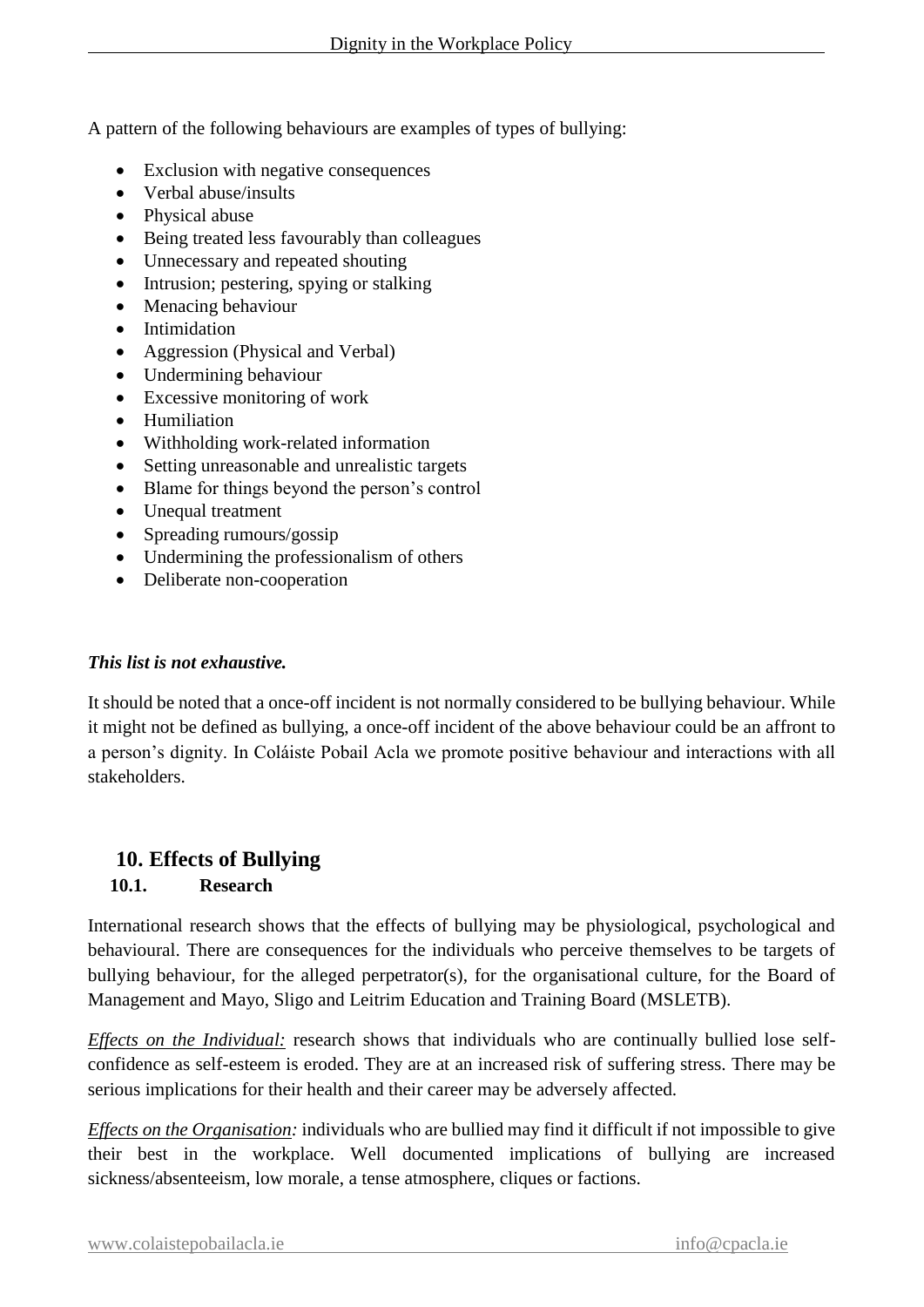A pattern of the following behaviours are examples of types of bullying:

- Exclusion with negative consequences
- Verbal abuse/insults
- Physical abuse
- Being treated less favourably than colleagues
- Unnecessary and repeated shouting
- Intrusion; pestering, spying or stalking
- Menacing behaviour
- Intimidation
- Aggression (Physical and Verbal)
- Undermining behaviour
- Excessive monitoring of work
- Humiliation
- Withholding work-related information
- Setting unreasonable and unrealistic targets
- Blame for things beyond the person's control
- Unequal treatment
- Spreading rumours/gossip
- Undermining the professionalism of others
- Deliberate non-cooperation

#### *This list is not exhaustive.*

It should be noted that a once-off incident is not normally considered to be bullying behaviour. While it might not be defined as bullying, a once-off incident of the above behaviour could be an affront to a person's dignity. In Coláiste Pobail Acla we promote positive behaviour and interactions with all stakeholders.

# **10. Effects of Bullying**

# **10.1. Research**

International research shows that the effects of bullying may be physiological, psychological and behavioural. There are consequences for the individuals who perceive themselves to be targets of bullying behaviour, for the alleged perpetrator(s), for the organisational culture, for the Board of Management and Mayo, Sligo and Leitrim Education and Training Board (MSLETB).

*Effects on the Individual:* research shows that individuals who are continually bullied lose selfconfidence as self-esteem is eroded. They are at an increased risk of suffering stress. There may be serious implications for their health and their career may be adversely affected.

*Effects on the Organisation:* individuals who are bullied may find it difficult if not impossible to give their best in the workplace. Well documented implications of bullying are increased sickness/absenteeism, low morale, a tense atmosphere, cliques or factions.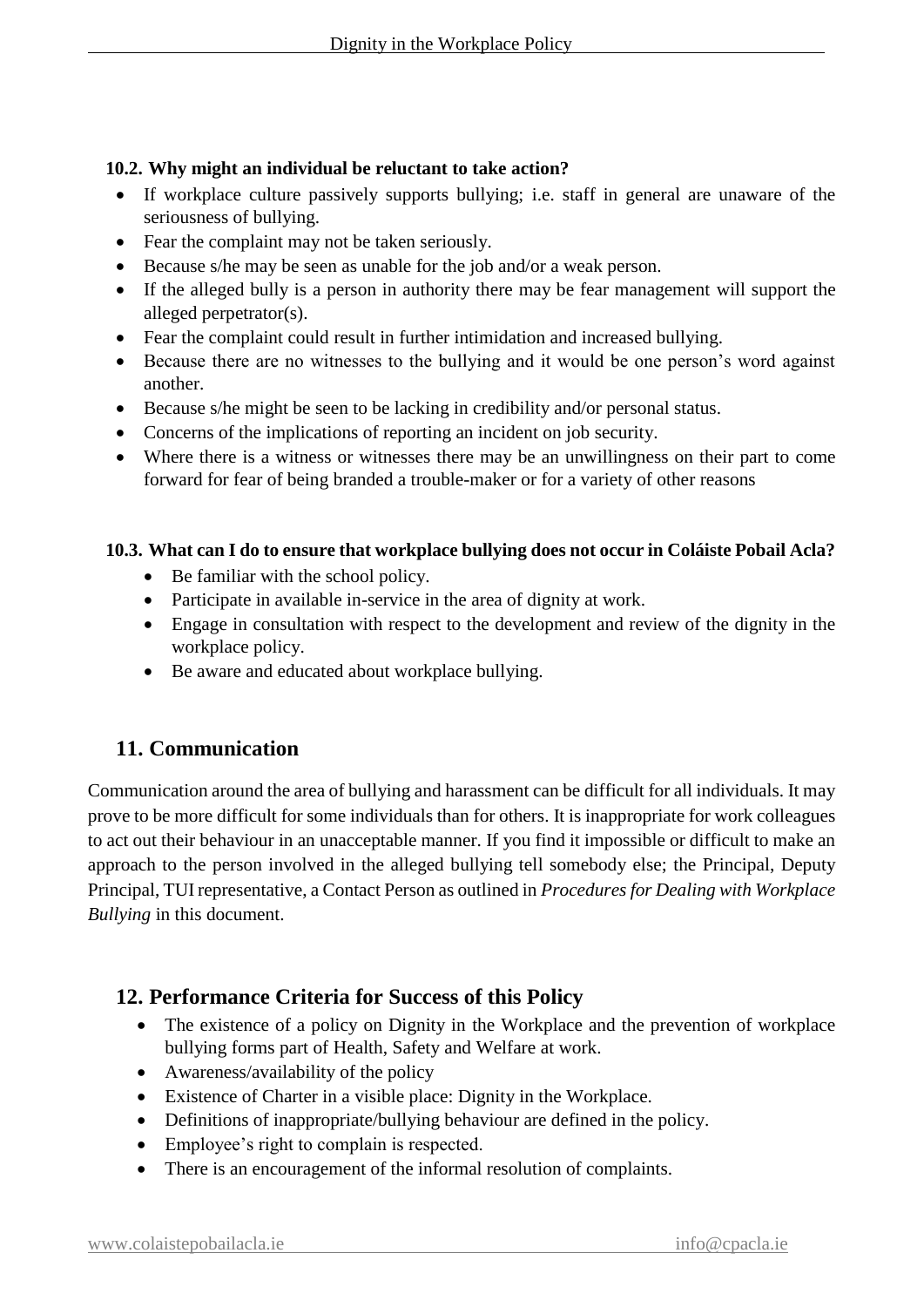### **10.2. Why might an individual be reluctant to take action?**

- If workplace culture passively supports bullying; i.e. staff in general are unaware of the seriousness of bullying.
- Fear the complaint may not be taken seriously.
- Because s/he may be seen as unable for the job and/or a weak person.
- If the alleged bully is a person in authority there may be fear management will support the alleged perpetrator(s).
- Fear the complaint could result in further intimidation and increased bullying.
- Because there are no witnesses to the bullying and it would be one person's word against another.
- Because s/he might be seen to be lacking in credibility and/or personal status.
- Concerns of the implications of reporting an incident on job security.
- Where there is a witness or witnesses there may be an unwillingness on their part to come forward for fear of being branded a trouble-maker or for a variety of other reasons

### **10.3. What can I do to ensure that workplace bullying does not occur in Coláiste Pobail Acla?**

- Be familiar with the school policy.
- Participate in available in-service in the area of dignity at work.
- Engage in consultation with respect to the development and review of the dignity in the workplace policy.
- Be aware and educated about workplace bullying.

# **11. Communication**

Communication around the area of bullying and harassment can be difficult for all individuals. It may prove to be more difficult for some individuals than for others. It is inappropriate for work colleagues to act out their behaviour in an unacceptable manner. If you find it impossible or difficult to make an approach to the person involved in the alleged bullying tell somebody else; the Principal, Deputy Principal, TUI representative, a Contact Person as outlined in *Procedures for Dealing with Workplace Bullying* in this document.

# **12. Performance Criteria for Success of this Policy**

- The existence of a policy on Dignity in the Workplace and the prevention of workplace bullying forms part of Health, Safety and Welfare at work.
- Awareness/availability of the policy
- Existence of Charter in a visible place: Dignity in the Workplace.
- Definitions of inappropriate/bullying behaviour are defined in the policy.
- Employee's right to complain is respected.
- There is an encouragement of the informal resolution of complaints.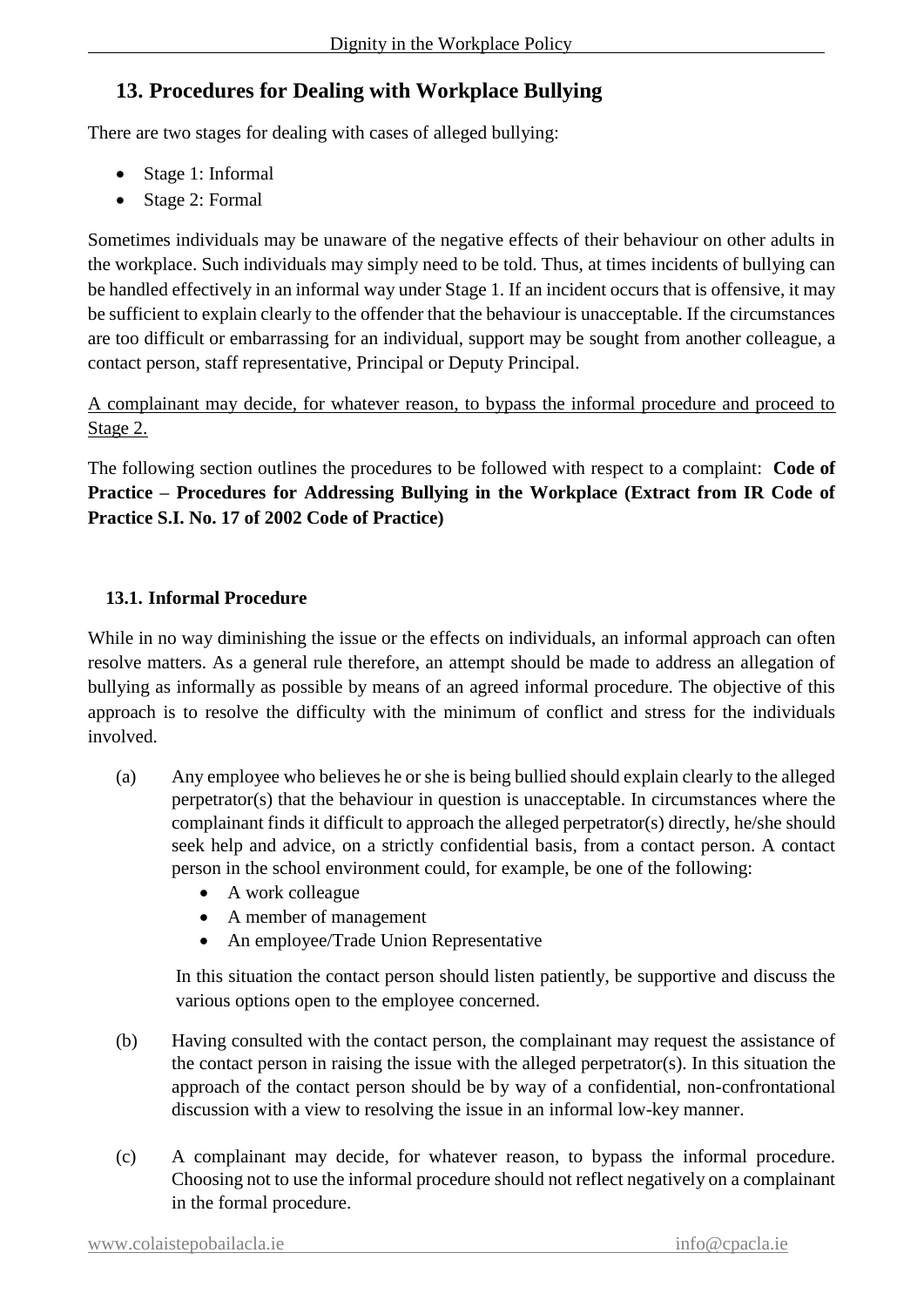# **13. Procedures for Dealing with Workplace Bullying**

There are two stages for dealing with cases of alleged bullying:

- Stage 1: Informal
- Stage 2: Formal

Sometimes individuals may be unaware of the negative effects of their behaviour on other adults in the workplace. Such individuals may simply need to be told. Thus, at times incidents of bullying can be handled effectively in an informal way under Stage 1. If an incident occurs that is offensive, it may be sufficient to explain clearly to the offender that the behaviour is unacceptable. If the circumstances are too difficult or embarrassing for an individual, support may be sought from another colleague, a contact person, staff representative, Principal or Deputy Principal.

A complainant may decide, for whatever reason, to bypass the informal procedure and proceed to Stage 2.

The following section outlines the procedures to be followed with respect to a complaint: **Code of Practice – Procedures for Addressing Bullying in the Workplace (Extract from IR Code of Practice S.I. No. 17 of 2002 Code of Practice)**

### **13.1. Informal Procedure**

While in no way diminishing the issue or the effects on individuals, an informal approach can often resolve matters. As a general rule therefore, an attempt should be made to address an allegation of bullying as informally as possible by means of an agreed informal procedure. The objective of this approach is to resolve the difficulty with the minimum of conflict and stress for the individuals involved.

- (a) Any employee who believes he or she is being bullied should explain clearly to the alleged perpetrator(s) that the behaviour in question is unacceptable. In circumstances where the complainant finds it difficult to approach the alleged perpetrator(s) directly, he/she should seek help and advice, on a strictly confidential basis, from a contact person. A contact person in the school environment could, for example, be one of the following:
	- A work colleague
	- A member of management
	- An employee/Trade Union Representative

In this situation the contact person should listen patiently, be supportive and discuss the various options open to the employee concerned.

- (b) Having consulted with the contact person, the complainant may request the assistance of the contact person in raising the issue with the alleged perpetrator(s). In this situation the approach of the contact person should be by way of a confidential, non-confrontational discussion with a view to resolving the issue in an informal low-key manner.
- (c) A complainant may decide, for whatever reason, to bypass the informal procedure. Choosing not to use the informal procedure should not reflect negatively on a complainant in the formal procedure.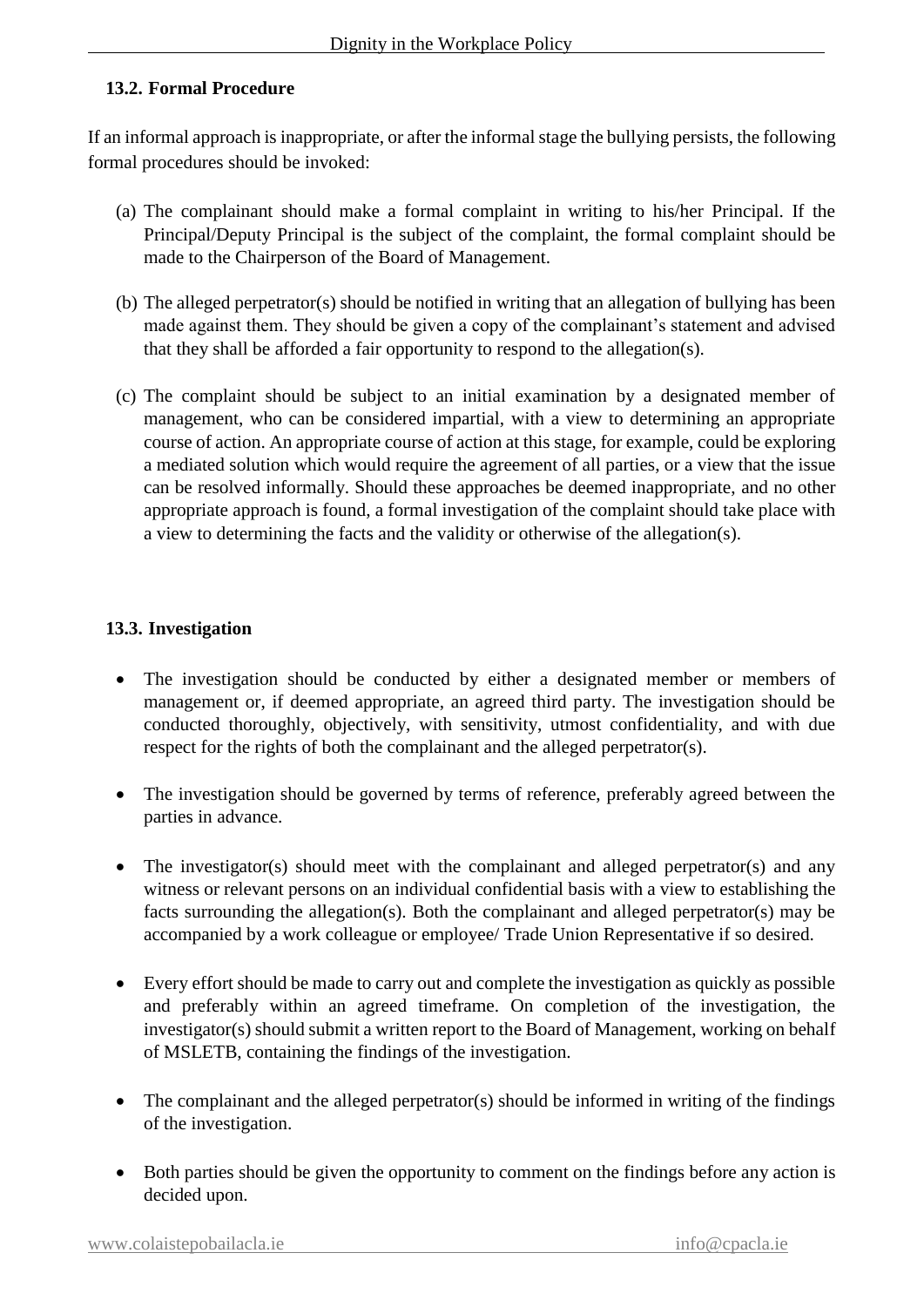### **13.2. Formal Procedure**

If an informal approach is inappropriate, or after the informal stage the bullying persists, the following formal procedures should be invoked:

- (a) The complainant should make a formal complaint in writing to his/her Principal. If the Principal/Deputy Principal is the subject of the complaint, the formal complaint should be made to the Chairperson of the Board of Management.
- (b) The alleged perpetrator(s) should be notified in writing that an allegation of bullying has been made against them. They should be given a copy of the complainant's statement and advised that they shall be afforded a fair opportunity to respond to the allegation(s).
- (c) The complaint should be subject to an initial examination by a designated member of management, who can be considered impartial, with a view to determining an appropriate course of action. An appropriate course of action at this stage, for example, could be exploring a mediated solution which would require the agreement of all parties, or a view that the issue can be resolved informally. Should these approaches be deemed inappropriate, and no other appropriate approach is found, a formal investigation of the complaint should take place with a view to determining the facts and the validity or otherwise of the allegation(s).

### **13.3. Investigation**

- The investigation should be conducted by either a designated member or members of management or, if deemed appropriate, an agreed third party. The investigation should be conducted thoroughly, objectively, with sensitivity, utmost confidentiality, and with due respect for the rights of both the complainant and the alleged perpetrator(s).
- The investigation should be governed by terms of reference, preferably agreed between the parties in advance.
- The investigator(s) should meet with the complainant and alleged perpetrator(s) and any witness or relevant persons on an individual confidential basis with a view to establishing the facts surrounding the allegation(s). Both the complainant and alleged perpetrator(s) may be accompanied by a work colleague or employee/ Trade Union Representative if so desired.
- Every effort should be made to carry out and complete the investigation as quickly as possible and preferably within an agreed timeframe. On completion of the investigation, the investigator(s) should submit a written report to the Board of Management, working on behalf of MSLETB, containing the findings of the investigation.
- The complainant and the alleged perpetrator(s) should be informed in writing of the findings of the investigation.
- Both parties should be given the opportunity to comment on the findings before any action is decided upon.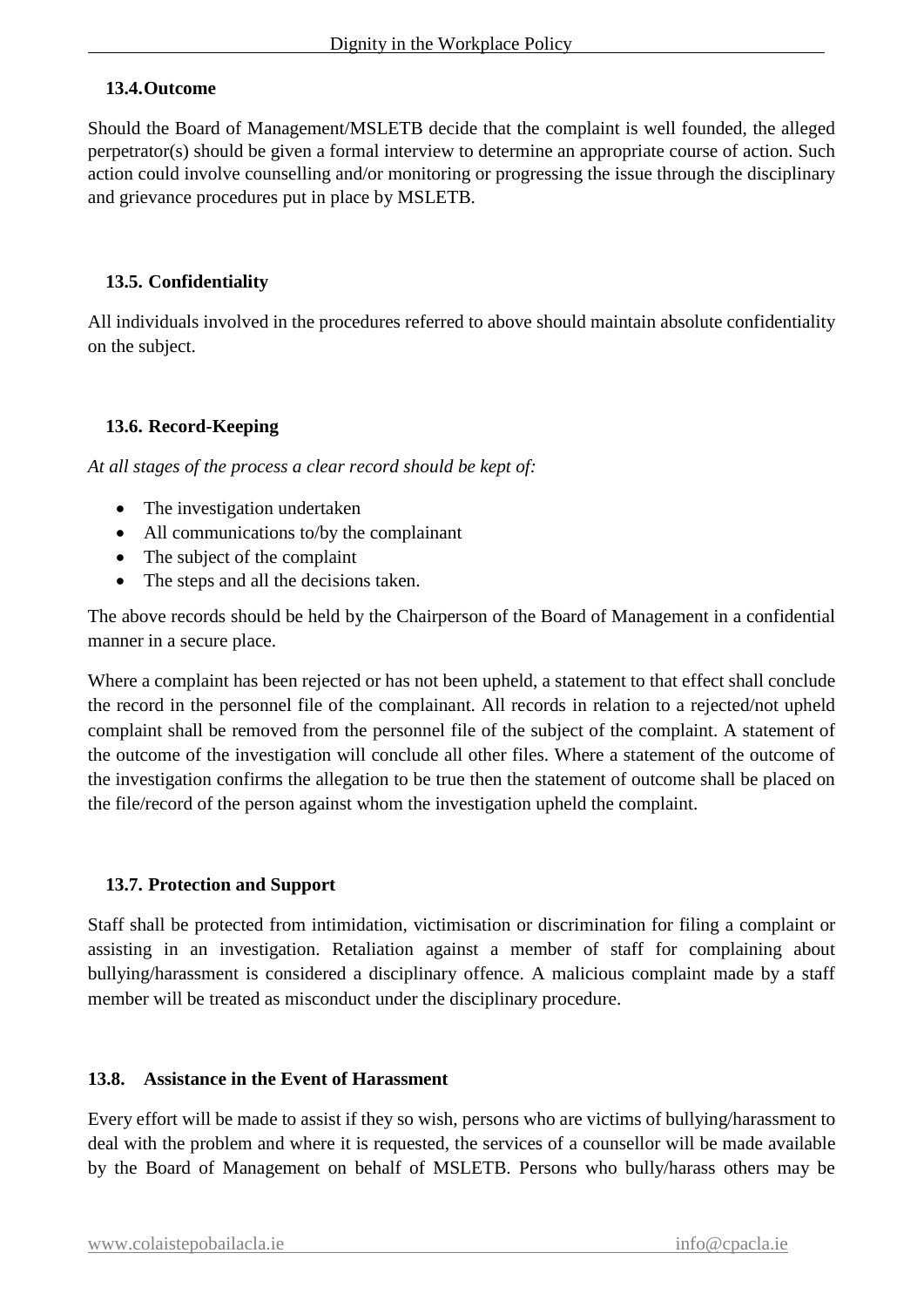### **13.4.Outcome**

Should the Board of Management/MSLETB decide that the complaint is well founded, the alleged perpetrator(s) should be given a formal interview to determine an appropriate course of action. Such action could involve counselling and/or monitoring or progressing the issue through the disciplinary and grievance procedures put in place by MSLETB.

### **13.5. Confidentiality**

All individuals involved in the procedures referred to above should maintain absolute confidentiality on the subject.

### **13.6. Record-Keeping**

*At all stages of the process a clear record should be kept of:* 

- The investigation undertaken
- All communications to/by the complainant
- The subject of the complaint
- The steps and all the decisions taken.

The above records should be held by the Chairperson of the Board of Management in a confidential manner in a secure place.

Where a complaint has been rejected or has not been upheld, a statement to that effect shall conclude the record in the personnel file of the complainant. All records in relation to a rejected/not upheld complaint shall be removed from the personnel file of the subject of the complaint. A statement of the outcome of the investigation will conclude all other files. Where a statement of the outcome of the investigation confirms the allegation to be true then the statement of outcome shall be placed on the file/record of the person against whom the investigation upheld the complaint.

### **13.7. Protection and Support**

Staff shall be protected from intimidation, victimisation or discrimination for filing a complaint or assisting in an investigation. Retaliation against a member of staff for complaining about bullying/harassment is considered a disciplinary offence. A malicious complaint made by a staff member will be treated as misconduct under the disciplinary procedure.

### **13.8. Assistance in the Event of Harassment**

Every effort will be made to assist if they so wish, persons who are victims of bullying/harassment to deal with the problem and where it is requested, the services of a counsellor will be made available by the Board of Management on behalf of MSLETB. Persons who bully/harass others may be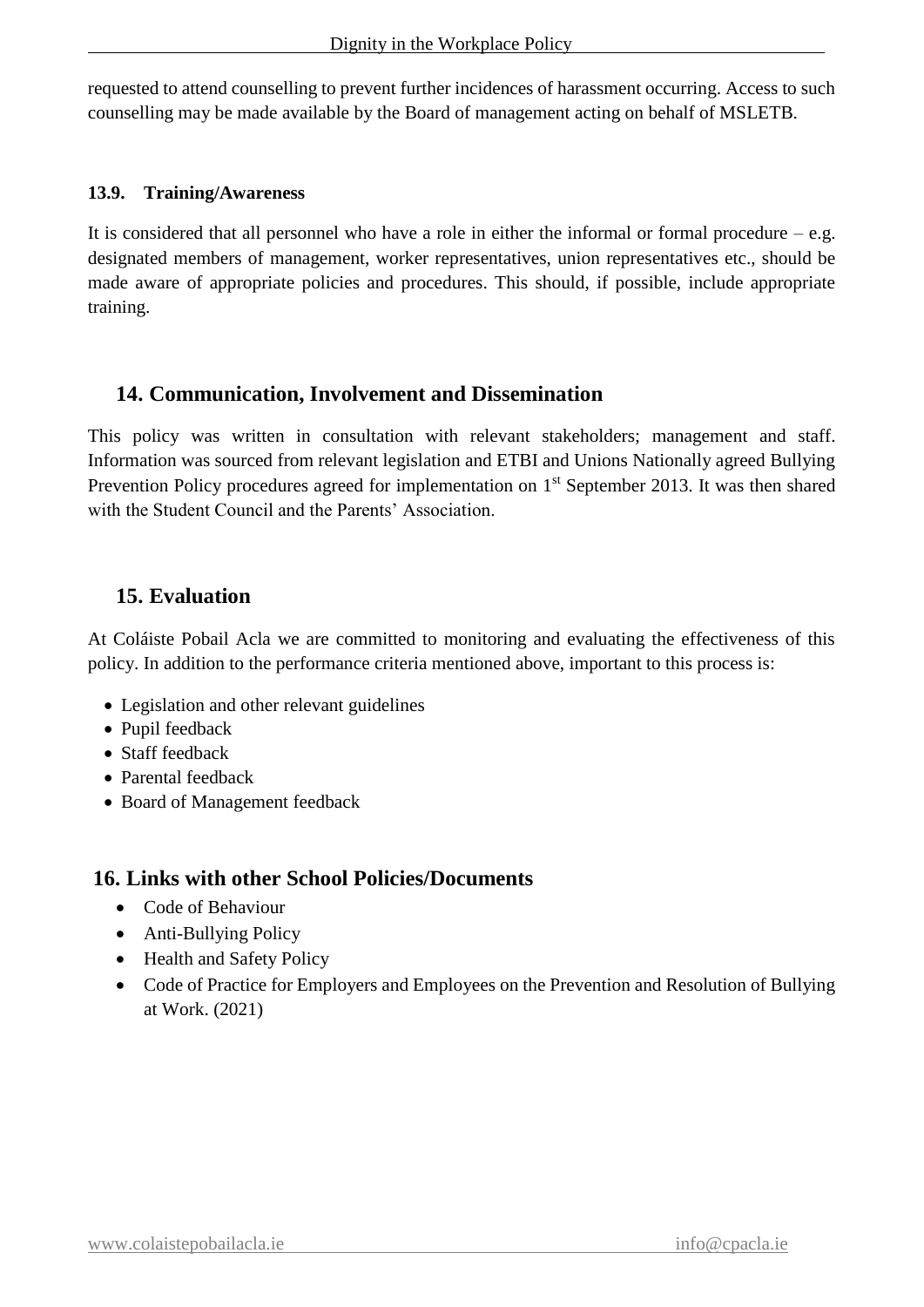requested to attend counselling to prevent further incidences of harassment occurring. Access to such counselling may be made available by the Board of management acting on behalf of MSLETB.

### **13.9. Training/Awareness**

It is considered that all personnel who have a role in either the informal or formal procedure  $-e.g.$ designated members of management, worker representatives, union representatives etc., should be made aware of appropriate policies and procedures. This should, if possible, include appropriate training.

# **14. Communication, Involvement and Dissemination**

This policy was written in consultation with relevant stakeholders; management and staff. Information was sourced from relevant legislation and ETBI and Unions Nationally agreed Bullying Prevention Policy procedures agreed for implementation on 1<sup>st</sup> September 2013. It was then shared with the Student Council and the Parents' Association.

# **15. Evaluation**

At Coláiste Pobail Acla we are committed to monitoring and evaluating the effectiveness of this policy. In addition to the performance criteria mentioned above, important to this process is:

- Legislation and other relevant guidelines
- Pupil feedback
- Staff feedback
- Parental feedback
- Board of Management feedback

# **16. Links with other School Policies/Documents**

- Code of Behaviour
- Anti-Bullying Policy
- Health and Safety Policy
- Code of Practice for Employers and Employees on the Prevention and Resolution of Bullying at Work. (2021)